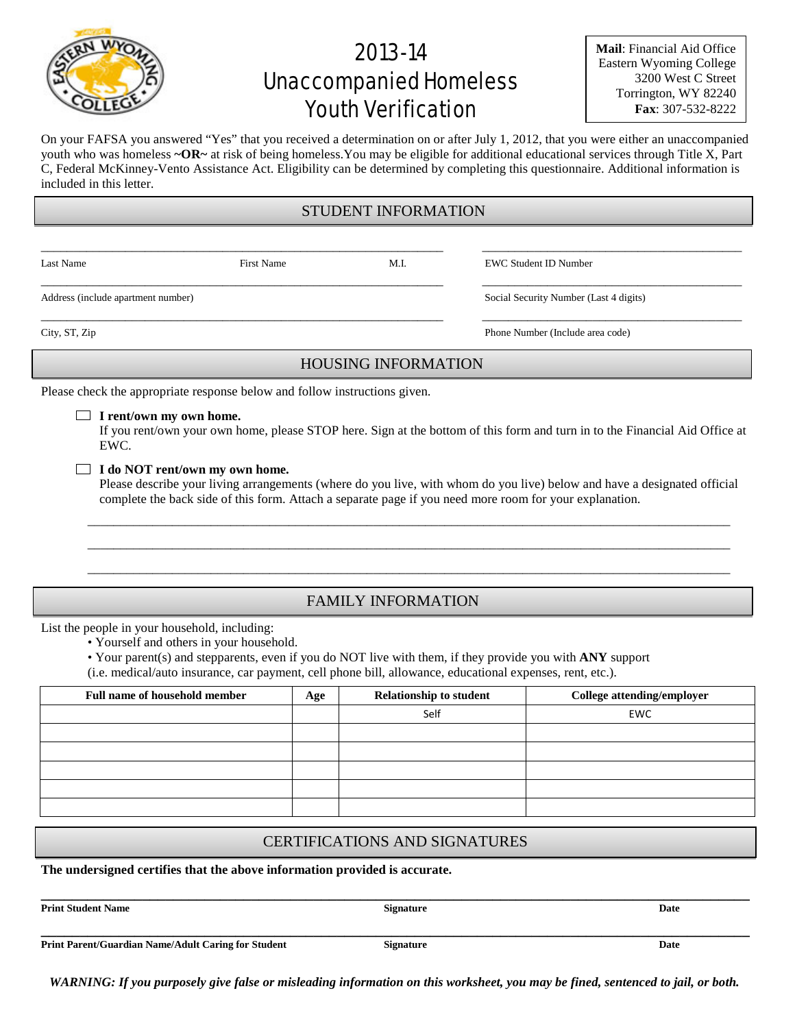# 2013-14 Unaccompanied Homeless Youth Verification

**Mail**: Financial Aid Office Eastern Wyoming College 3200 West C Street Torrington, WY 82240 **Fax**: 307-532-8222

On your FAFSA you answered "Yes" that you received a determination on or after July 1, 2012, that you were either an unaccompanied youth who was homeless **~OR~** at risk of being homeless.You may be eligible for additional educational services through Title X, Part C, Federal McKinney-Vento Assistance Act. Eligibility can be determined by completing this questionnaire. Additional information is included in this letter.

#### STUDENT INFORMATION

\_\_\_\_\_\_\_\_\_\_\_\_\_\_\_\_\_\_\_\_\_\_\_\_\_\_\_\_\_\_\_\_\_\_\_\_\_\_\_\_\_\_\_\_\_\_\_\_\_\_\_\_\_\_\_\_\_\_\_\_\_\_ \_\_\_\_\_\_\_\_\_\_\_\_\_\_\_\_\_\_\_\_\_\_\_\_\_\_\_\_\_\_\_\_\_\_\_\_\_\_\_\_

\_\_\_\_\_\_\_\_\_\_\_\_\_\_\_\_\_\_\_\_\_\_\_\_\_\_\_\_\_\_\_\_\_\_\_\_\_\_\_\_\_\_\_\_\_\_\_\_\_\_\_\_\_\_\_\_\_\_\_\_\_\_ \_\_\_\_\_\_\_\_\_\_\_\_\_\_\_\_\_\_\_\_\_\_\_\_\_\_\_\_\_\_\_\_\_\_\_\_\_\_\_\_

Last Name First Name First Name M.I. EWC Student ID Number

Address (include apartment number) Social Security Number (Last 4 digits)

\_\_\_\_\_\_\_\_\_\_\_\_\_\_\_\_\_\_\_\_\_\_\_\_\_\_\_\_\_\_\_\_\_\_\_\_\_\_\_\_\_\_\_\_\_\_\_\_\_\_\_\_\_\_\_\_\_\_\_\_\_\_ \_\_\_\_\_\_\_\_\_\_\_\_\_\_\_\_\_\_\_\_\_\_\_\_\_\_\_\_\_\_\_\_\_\_\_\_\_\_\_\_ City, ST, Zip Phone Number (Include area code)

### HOUSING INFORMATION

Please check the appropriate response below and follow instructions given.

**I rent/own my own home.**

If you rent/own your own home, please STOP here. Sign at the bottom of this form and turn in to the Financial Aid Office at EWC.

#### **I do NOT rent/own my own home.**

Please describe your living arrangements (where do you live, with whom do you live) below and have a designated official complete the back side of this form. Attach a separate page if you need more room for your explanation.

\_\_\_\_\_\_\_\_\_\_\_\_\_\_\_\_\_\_\_\_\_\_\_\_\_\_\_\_\_\_\_\_\_\_\_\_\_\_\_\_\_\_\_\_\_\_\_\_\_\_\_\_\_\_\_\_\_\_\_\_\_\_\_\_\_\_\_\_\_\_\_\_\_\_\_\_\_\_\_\_\_\_\_\_\_\_\_\_\_\_\_\_\_\_\_\_\_\_\_ \_\_\_\_\_\_\_\_\_\_\_\_\_\_\_\_\_\_\_\_\_\_\_\_\_\_\_\_\_\_\_\_\_\_\_\_\_\_\_\_\_\_\_\_\_\_\_\_\_\_\_\_\_\_\_\_\_\_\_\_\_\_\_\_\_\_\_\_\_\_\_\_\_\_\_\_\_\_\_\_\_\_\_\_\_\_\_\_\_\_\_\_\_\_\_\_\_\_\_ \_\_\_\_\_\_\_\_\_\_\_\_\_\_\_\_\_\_\_\_\_\_\_\_\_\_\_\_\_\_\_\_\_\_\_\_\_\_\_\_\_\_\_\_\_\_\_\_\_\_\_\_\_\_\_\_\_\_\_\_\_\_\_\_\_\_\_\_\_\_\_\_\_\_\_\_\_\_\_\_\_\_\_\_\_\_\_\_\_\_\_\_\_\_\_\_\_\_\_

### FAMILY INFORMATION

List the people in your household, including:

• Yourself and others in your household.

• Your parent(s) and stepparents, even if you do NOT live with them, if they provide you with **ANY** support

(i.e. medical/auto insurance, car payment, cell phone bill, allowance, educational expenses, rent, etc.).

| <b>Full name of household member</b> | Age | <b>Relationship to student</b> | College attending/employer |
|--------------------------------------|-----|--------------------------------|----------------------------|
|                                      |     | Self                           | <b>EWC</b>                 |
|                                      |     |                                |                            |
|                                      |     |                                |                            |
|                                      |     |                                |                            |
|                                      |     |                                |                            |
|                                      |     |                                |                            |

#### CERTIFICATIONS AND SIGNATURES

**The undersigned certifies that the above information provided is accurate.**

**Print Student Name Signature Signature Signature Date** 

**\_\_\_\_\_\_\_\_\_\_\_\_\_\_\_\_\_\_\_\_\_\_\_\_\_\_\_\_\_\_\_\_\_\_\_\_\_\_\_\_\_\_\_\_\_\_\_\_\_\_\_\_\_\_\_\_\_\_\_\_\_\_\_\_\_\_\_\_\_\_\_\_\_\_\_\_\_\_\_\_\_\_\_\_\_\_\_\_\_\_\_**

**\_\_\_\_\_\_\_\_\_\_\_\_\_\_\_\_\_\_\_\_\_\_\_\_\_\_\_\_\_\_\_\_\_\_\_\_\_\_\_\_\_\_\_\_\_\_\_\_\_\_\_\_\_\_\_\_\_\_\_\_\_\_\_\_\_\_\_\_\_\_\_\_\_\_\_\_\_\_\_\_\_\_\_\_\_\_\_\_\_\_\_ Print Parent/Guardian Name/Adult Caring for Student Signature Signature Date Date** 

*WARNING: If you purposely give false or misleading information on this worksheet, you may be fined, sentenced to jail, or both.*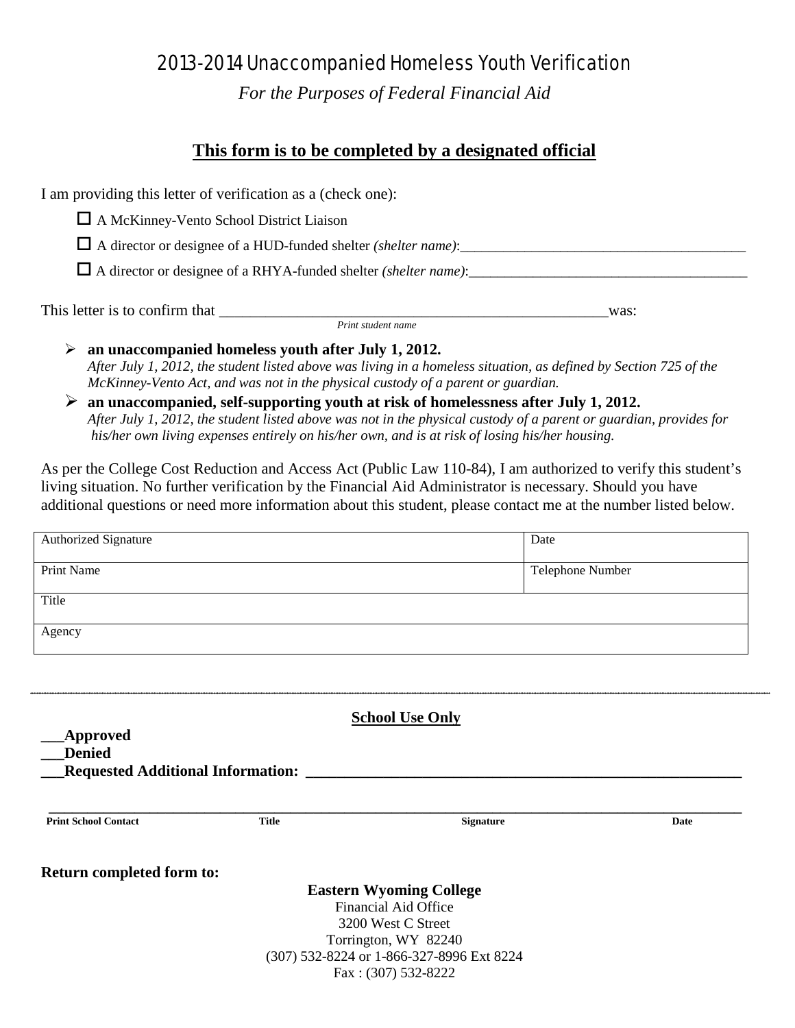## 2013-2014 Unaccompanied Homeless Youth Verification

*For the Purposes of Federal Financial Aid*

## **This form is to be completed by a designated official**

I am providing this letter of verification as a (check one):

A McKinney-Vento School District Liaison

 $\Box$  A director or designee of a HUD-funded shelter *(shelter name)*:

A director or designee of a RHYA-funded shelter *(shelter name)*:\_\_\_\_\_\_\_\_\_\_\_\_\_\_\_\_\_\_\_\_\_\_\_\_\_\_\_\_\_\_\_\_\_\_\_\_\_\_\_

This letter is to confirm that \_\_\_\_\_\_\_\_\_\_\_\_\_\_\_\_\_\_\_\_\_\_\_\_\_\_\_\_\_\_\_\_\_\_\_\_\_\_\_\_\_\_\_\_\_\_\_\_\_\_was: *Print student name*

 **an unaccompanied homeless youth after July 1, 2012.** *After July 1, 2012, the student listed above was living in a homeless situation, as defined by Section 725 of the McKinney-Vento Act, and was not in the physical custody of a parent or guardian.* 

 **an unaccompanied, self-supporting youth at risk of homelessness after July 1, 2012.** *After July 1, 2012, the student listed above was not in the physical custody of a parent or guardian, provides for his/her own living expenses entirely on his/her own, and is at risk of losing his/her housing.* 

As per the College Cost Reduction and Access Act (Public Law 110-84), I am authorized to verify this student's living situation. No further verification by the Financial Aid Administrator is necessary. Should you have additional questions or need more information about this student, please contact me at the number listed below.

| <b>Authorized Signature</b>                                                  |              | Date                                                   |      |
|------------------------------------------------------------------------------|--------------|--------------------------------------------------------|------|
| <b>Print Name</b>                                                            |              | Telephone Number                                       |      |
| Title                                                                        |              |                                                        |      |
| Agency                                                                       |              |                                                        |      |
|                                                                              |              |                                                        |      |
|                                                                              |              | <b>School Use Only</b>                                 |      |
| <b>Approved</b><br><b>Denied</b><br><b>Requested Additional Information:</b> |              |                                                        |      |
| <b>Print School Contact</b>                                                  | <b>Title</b> | <b>Signature</b>                                       | Date |
| Return completed form to:                                                    |              |                                                        |      |
|                                                                              |              | <b>Eastern Wyoming College</b><br>Financial Aid Office |      |
|                                                                              |              | 3200 West C Street                                     |      |
|                                                                              |              | Torrington, WY 82240                                   |      |
|                                                                              |              | (307) 532-8224 or 1-866-327-8996 Ext 8224              |      |
|                                                                              |              | Fax: (307) 532-8222                                    |      |